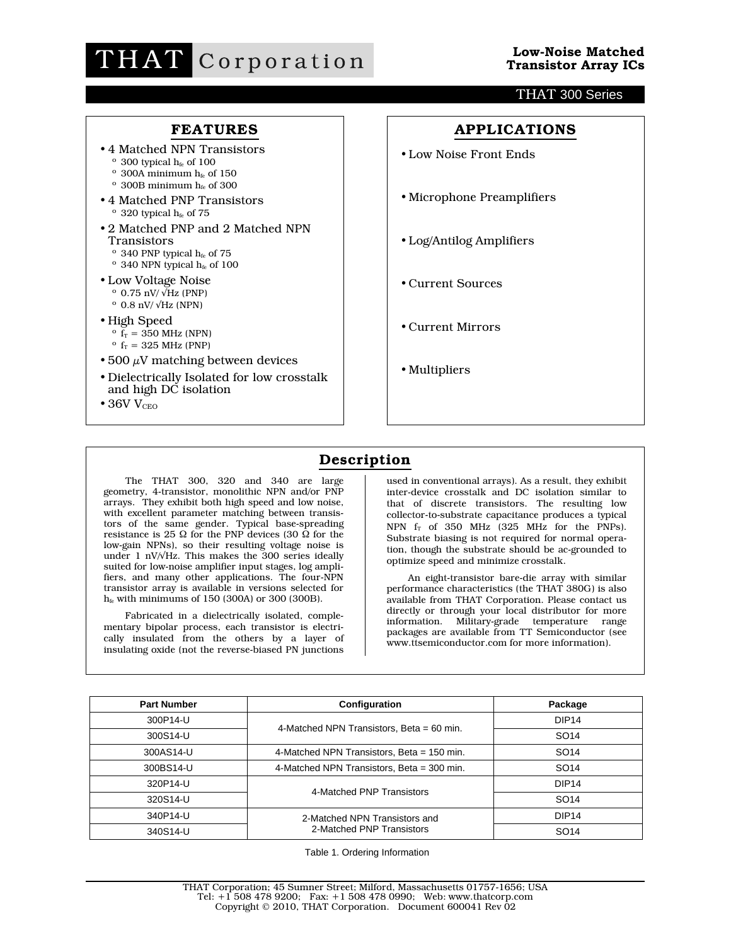

## THAT 300 Series

## **FEATURES**

- •4 Matched NPN Transistors
	- $\degree$  300 typical  $h_{fe}$  of 100
	- $\degree$  300A minimum h<sub>fe</sub> of 150
	- $\,^{\rm o}$  300B minimum  $\rm h_{fe}$  of 300
- •4 Matched PNP Transistors  $\degree$  320 typical  $h_{fe}$  of 75
- •2 Matched PNP and 2 Matched NPN **Transistors** 
	- $^{\rm o}$  340 PNP typical  $\rm h_{\rm fe}$  of 75
	- $\,^{\rm o}$  340 NPN typical  $\rm h_{\rm fe}$  of 100
- •Low Voltage Noise  $\degree$  0.75 nV/ $\sqrt{\text{Hz}}$  (PNP)
	- $\degree$  0.8 nV/  $\sqrt{Hz}$  (NPN)
- •High Speed
	- $\frac{1}{2}$  o  $\frac{1}{2}$  = 350 MHz (NPN)
	- $\rm^{\circ}$  f<sub>T</sub> = 325 MHz (PNP)
- 500  $\mu$ V matching between devices
- •Dielectrically Isolated for low crosstalk and high DC isolation
- $\bullet$  36V V<sub>CEO</sub>

**APPLICATIONS** •Low Noise Front Ends •Microphone Preamplifiers •Log/Antilog Amplifiers •Current Sources •Current Mirrors •Multipliers

# **Description**

The THAT 300, 320 and 340 are large geometry, 4-transistor, monolithic NPN and/or PNP arrays. They exhibit both high speed and low noise, with excellent parameter matching between transistors of the same gender. Typical base-spreading resistance is 25 Ω for the PNP devices (30  $\Omega$  for the low-gain NPNs), so their resulting voltage noise is under 1 nV/√Hz. This makes the 300 series ideally suited for low-noise amplifier input stages, log amplifiers, and many other applications. The four-NPN transistor array is available in versions selected for  $h_{fe}$  with minimums of 150 (300A) or 300 (300B).

Fabricated in a dielectrically isolated, complementary bipolar process, each transistor is electrically insulated from the others by a layer of insulating oxide (not the reverse-biased PN junctions

used in conventional arrays). As a result, they exhibit inter-device crosstalk and DC isolation similar to that of discrete transistors. The resulting low collector-to-substrate capacitance produces a typical NPN  $f_T$  of 350 MHz (325 MHz for the PNPs). Substrate biasing is not required for normal operation, though the substrate should be ac-grounded to optimize speed and minimize crosstalk.

An eight-transistor bare-die array with similar performance characteristics (the THAT 380G) is also available from THAT Corporation. Please contact us directly or through your local distributor for more information. Military-grade temperature range packages are available from TT Semiconductor (see www.ttsemiconductor.com for more information).

| <b>Part Number</b> | Configuration                               | Package           |
|--------------------|---------------------------------------------|-------------------|
| 300P14-U           |                                             | DIP <sub>14</sub> |
| 300S14-U           | 4-Matched NPN Transistors, Beta = $60$ min. | SO <sub>14</sub>  |
| 300AS14-U          | 4-Matched NPN Transistors, Beta = 150 min.  | SO <sub>14</sub>  |
| 300BS14-U          | 4-Matched NPN Transistors, Beta = 300 min.  | SO <sub>14</sub>  |
| 320P14-U           | 4-Matched PNP Transistors                   | DIP <sub>14</sub> |
| 320S14-U           |                                             | SO <sub>14</sub>  |
| 340P14-U           | 2-Matched NPN Transistors and               | DIP <sub>14</sub> |
| 340S14-U           | 2-Matched PNP Transistors                   | SO <sub>14</sub>  |

Table 1. Ordering Information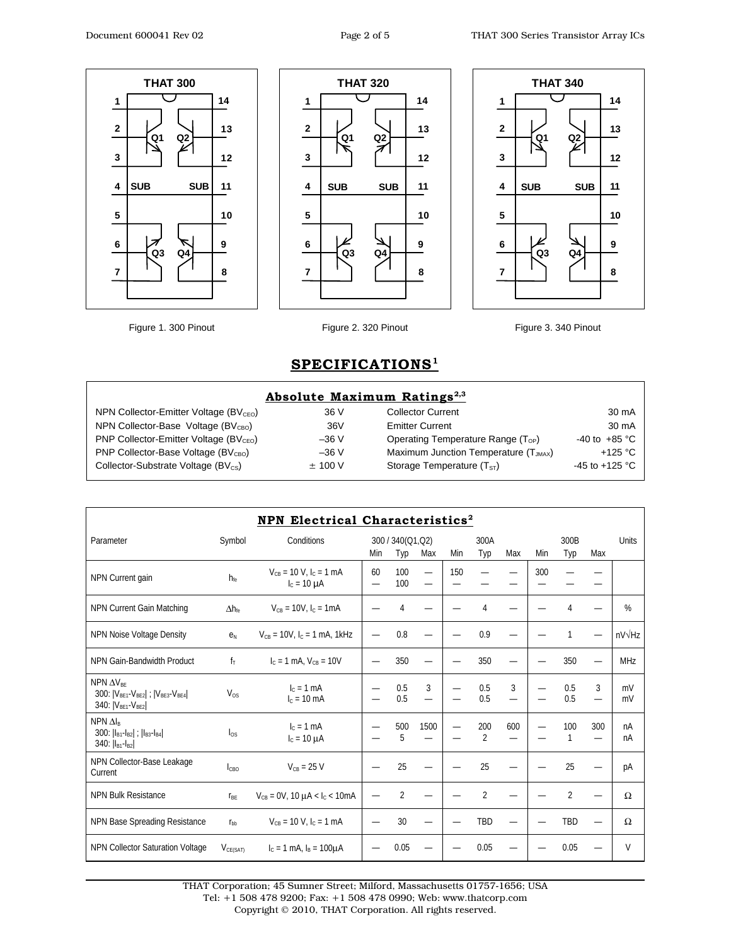





Figure 1. 300 Pinout Figure 2. 320 Pinout Figure 3. 340 Pinout

## **SPECIFICATIONS1**

### **Absolute Maximum Ratings<sup>2,3</sup>**

| NPN Collector-Emitter Voltage (BV <sub>CFO</sub> ) | 36 V      |
|----------------------------------------------------|-----------|
| NPN Collector-Base Voltage ( $BVCBO$ )             | 36V       |
| PNP Collector-Emitter Voltage (BV <sub>CFO</sub> ) | $-36V$    |
| PNP Collector-Base Voltage ( $BVCBO$ )             | $-36V$    |
| Collector-Substrate Voltage (BV <sub>cs</sub> )    | $±$ 100 V |

| 36 V    |
|---------|
| 36V     |
| –36 V   |
| –36 V   |
| ± 100 V |

Collector Current 30 mA Emitter Current 30 mA Operating Temperature Range  $(T_{OP})$  -40 to +85 °C Maximum Junction Temperature  $(T_{JMAX})$  +125 °C Storage Temperature  $(T<sub>ST</sub>)$  -45 to +125 °C

|                                                                                                              |                        | NPN Electrical Characteristics <sup>2</sup>         |     |                         |                          |     |                       |     |     |                |     |                 |
|--------------------------------------------------------------------------------------------------------------|------------------------|-----------------------------------------------------|-----|-------------------------|--------------------------|-----|-----------------------|-----|-----|----------------|-----|-----------------|
| Parameter                                                                                                    | Symbol                 | Conditions                                          | Min | 300 / 340(Q1,Q2)<br>Typ | Max                      | Min | 300A<br>Typ           | Max | Min | 300B<br>Typ    | Max | <b>Units</b>    |
| NPN Current gain                                                                                             | $h_{\text{fe}}$        | $V_{CB}$ = 10 V, $I_C$ = 1 mA<br>$I_c = 10 \mu A$   | 60  | 100<br>100              | $\overline{\phantom{0}}$ | 150 |                       |     | 300 |                |     |                 |
| NPN Current Gain Matching                                                                                    | $\Delta h_{\text{fe}}$ | $V_{CB} = 10V$ , $I_C = 1mA$                        |     | 4                       |                          |     | 4                     |     |     |                |     | %               |
| NPN Noise Voltage Density                                                                                    | e <sub>N</sub>         | $V_{CB}$ = 10V, $I_C$ = 1 mA, 1kHz                  |     | 0.8                     |                          |     | 0.9                   |     |     |                |     | $nV\sqrt{Hz}$   |
| NPN Gain-Bandwidth Product                                                                                   | $f_T$                  | $I_c = 1$ mA, $V_{CR} = 10V$                        |     | 350                     |                          |     | 350                   |     |     | 350            |     | MH <sub>7</sub> |
| NPN $\Delta V_{\text{BF}}$<br>300: $ V_{BE1} - V_{BE2} $ ; $ V_{BE3} - V_{BE4} $<br>340: $ V_{BE1}-V_{BE2} $ | $V_{OS}$               | $I_c = 1$ mA<br>$I_c = 10$ mA                       |     | 0.5<br>0.5              | 3<br>$\equiv$            |     | 0.5<br>0.5            | 3   |     | 0.5<br>0.5     | 3   | mV<br>mV        |
| $NPN \Delta I_R$<br>300: $ I_{B1} - I_{B2} $ ; $ I_{B3} - I_{B4} $<br>340: $ I_{B1} - I_{B2} $               | $\log$                 | $I_c = 1$ mA<br>$I_c = 10 \mu A$                    |     | 500<br>5                | 1500                     |     | 200<br>$\overline{2}$ | 600 |     | 100            | 300 | nA<br>nA        |
| NPN Collector-Base Leakage<br>Current                                                                        | $l_{CBO}$              | $V_{CB}$ = 25 V                                     |     | 25                      |                          |     | 25                    |     |     | 25             |     | pA              |
| <b>NPN Bulk Resistance</b>                                                                                   | <b>T<sub>BE</sub></b>  | $V_{CB} = 0V$ , 10 $\mu$ A < I <sub>c</sub> < 10 mA |     | $\overline{2}$          |                          |     | $\overline{2}$        |     |     | $\overline{2}$ |     | Ω               |
| NPN Base Spreading Resistance                                                                                | $r_{\rm bh}$           | $V_{CB}$ = 10 V, $I_C$ = 1 mA                       |     | 30                      |                          |     | TBD                   |     |     | TBD            |     | Ω               |
| <b>NPN Collector Saturation Voltage</b>                                                                      | $V_{CE(SAT)}$          | $I_c = 1$ mA, $I_B = 100 \mu A$                     |     | 0.05                    |                          |     | 0.05                  |     |     | 0.05           |     | $\vee$          |

THAT Corporation; 45 Sumner Street; Milford, Massachusetts 01757-1656; USA Tel: +1 508 478 9200; Fax: +1 508 478 0990; Web: www.thatcorp.com

Copyright © 2010, THAT Corporation. All rights reserved.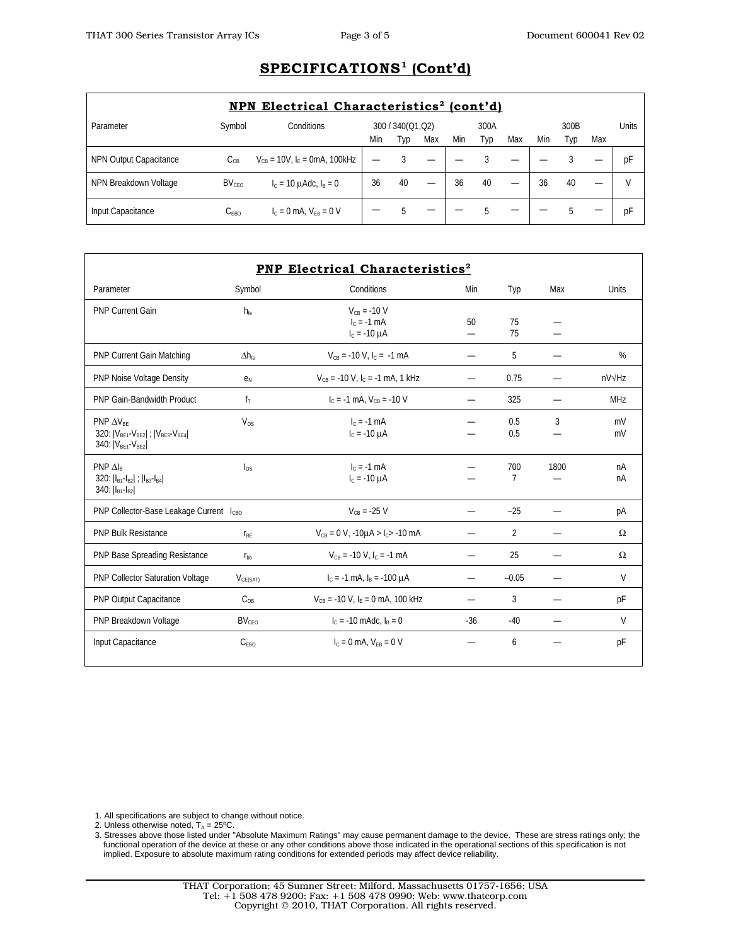# **SPECIFICATIONS1 (Cont'd)**

| NPN Electrical Characteristics <sup>2</sup> (cont'd) |                    |                                     |     |                  |                          |     |      |     |     |      |     |       |
|------------------------------------------------------|--------------------|-------------------------------------|-----|------------------|--------------------------|-----|------|-----|-----|------|-----|-------|
| Parameter                                            | Symbol             | Conditions                          |     | 300 / 340(Q1,Q2) |                          |     | 300A |     |     | 300B |     | Units |
|                                                      |                    |                                     | Min | Typ              | Max                      | Min | Typ  | Max | Min | l yp | Max |       |
| NPN Output Capacitance                               | $C_{OR}$           | $V_{CB}$ = 10V, $I_F$ = 0mA, 100kHz |     |                  | –                        |     |      |     |     |      |     | рF    |
| NPN Breakdown Voltage                                | BV <sub>CEO</sub>  | $I_c = 10 \mu A dc$ , $I_B = 0$     | 36  | 40               | $\overline{\phantom{0}}$ | 36  | 40   |     | 36  | 40   | —   |       |
| Input Capacitance                                    | $\mathrm{C_{FBO}}$ | $I_c = 0$ mA, $V_{FB} = 0$ V        |     |                  |                          |     |      |     |     |      |     | pF    |

| Parameter                                                                                                                                              | Symbol                 | Conditions                                             | Min   | Typ                   | Max  | <b>Units</b>  |
|--------------------------------------------------------------------------------------------------------------------------------------------------------|------------------------|--------------------------------------------------------|-------|-----------------------|------|---------------|
| <b>PNP Current Gain</b>                                                                                                                                | $h_{\text{fe}}$        | $V_{CB} = -10 V$<br>$IC = -1 mA$<br>$I_c = -10 \mu A$  | 50    | 75<br>75              |      |               |
| <b>PNP Current Gain Matching</b>                                                                                                                       | $\Delta h_{\text{fe}}$ | $V_{CB}$ = -10 V, $I_C$ = -1 mA                        |       | 5                     |      | $\%$          |
| PNP Noise Voltage Density                                                                                                                              | e <sub>N</sub>         | $V_{CB}$ = -10 V, $I_C$ = -1 mA, 1 kHz                 |       | 0.75                  |      | $nV\sqrt{Hz}$ |
| PNP Gain-Bandwidth Product                                                                                                                             | $f_T$                  | $I_c = -1$ mA, $V_{CB} = -10$ V                        |       | 325                   |      | <b>MHz</b>    |
| $PNP \Delta V_{RF}$<br>320:  V <sub>BE1</sub> -V <sub>BE2</sub>   ;  V <sub>BE3</sub> -V <sub>BE4</sub>  <br>340:   V <sub>BE1</sub> -V <sub>BE2</sub> | $V_{OS}$               | $Ic = -1$ mA<br>$I_c = -10 \mu A$                      |       | 0.5<br>0.5            | 3    | mV<br>mV      |
| $PNP\Delta I_R$<br>320: $ I_{B1} - I_{B2} $ ; $ I_{B3} - I_{B4} $<br>340: $ I_{B1} - I_{B2} $                                                          | $\log$                 | $IC = -1$ mA<br>$I_c = -10 \mu A$                      |       | 700<br>$\overline{7}$ | 1800 | nA<br>nA      |
| PNP Collector-Base Leakage Current I <sub>CBO</sub>                                                                                                    |                        | $V_{CB} = -25 V$                                       |       | $-25$                 |      | рA            |
| <b>PNP Bulk Resistance</b>                                                                                                                             | $r_{BE}$               | $V_{CB} = 0 V$ , -10 $\mu$ A > I <sub>C</sub> > -10 mA |       | 2                     |      | Ω             |
| PNP Base Spreading Resistance                                                                                                                          | $r_{bb}$               | $V_{CR}$ = -10 V, $I_C$ = -1 mA                        |       | 25                    |      | Ω             |
| PNP Collector Saturation Voltage                                                                                                                       | V <sub>CE(SAT)</sub>   | $I_C = -1$ mA, $I_B = -100 \mu A$                      |       | $-0.05$               |      | V             |
| <b>PNP Output Capacitance</b>                                                                                                                          | $C_{OB}$               | $V_{CB}$ = -10 V, $I_F$ = 0 mA, 100 kHz                |       | 3                     |      | pF            |
| PNP Breakdown Voltage                                                                                                                                  | $BV_{CFO}$             | $I_C = -10$ mAdc, $I_B = 0$                            | $-36$ | $-40$                 |      | $\vee$        |
| Input Capacitance                                                                                                                                      | C <sub>FRO</sub>       | $I_C = 0$ mA, $V_{FR} = 0$ V                           |       | 6                     |      | pF            |

1. All specifications are subject to change without notice.

2. Unless otherwise noted, T<sub>A</sub> = 25ºC.<br>3. Stresses above those listed under "Absolute Maximum Ratings" may cause permanent damage to the device. These are stress ratings only; the functional operation of the device at these or any other conditions above those indicated in the operational sections of this specification is not implied. Exposure to absolute maximum rating conditions for extended periods may affect device reliability.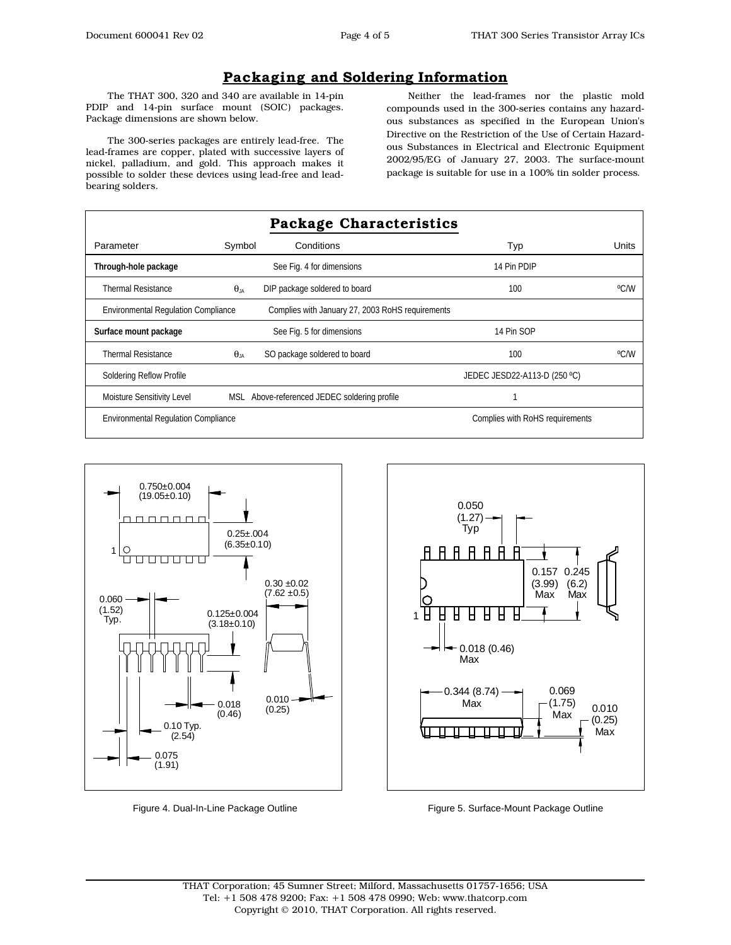## **Packaging and Soldering Information**

The THAT 300, 320 and 340 are available in 14-pin PDIP and 14-pin surface mount (SOIC) packages. Package dimensions are shown below.

The 300-series packages are entirely lead-free. The lead-frames are copper, plated with successive layers of nickel, palladium, and gold. This approach makes it possible to solder these devices using lead-free and leadbearing solders.

Neither the lead-frames nor the plastic mold compounds used in the 300-series contains any hazardous substances as specified in the European Union's Directive on the Restriction of the Use of Certain Hazardous Substances in Electrical and Electronic Equipment 2002/95/EG of January 27, 2003. The surface-mount package is suitable for use in a 100% tin solder process.

| Package Characteristics                    |               |                                                  |                                 |       |  |  |  |
|--------------------------------------------|---------------|--------------------------------------------------|---------------------------------|-------|--|--|--|
| Parameter                                  | Symbol        | Conditions                                       | Typ                             | Units |  |  |  |
| Through-hole package                       |               | See Fig. 4 for dimensions                        | 14 Pin PDIP                     |       |  |  |  |
| <b>Thermal Resistance</b>                  | $\theta_{IA}$ | DIP package soldered to board                    | 100                             | °C/W  |  |  |  |
| <b>Environmental Regulation Compliance</b> |               | Complies with January 27, 2003 RoHS requirements |                                 |       |  |  |  |
| Surface mount package                      |               | See Fig. 5 for dimensions                        | 14 Pin SOP                      |       |  |  |  |
| <b>Thermal Resistance</b>                  | $\theta_{IA}$ | SO package soldered to board                     | 100                             | °C/W  |  |  |  |
| <b>Soldering Reflow Profile</b>            |               |                                                  | JEDEC JESD22-A113-D (250 °C)    |       |  |  |  |
| Moisture Sensitivity Level                 |               | MSL Above-referenced JEDEC soldering profile     |                                 |       |  |  |  |
| <b>Environmental Regulation Compliance</b> |               |                                                  | Complies with RoHS requirements |       |  |  |  |



Figure 4. Dual-In-Line Package Outline



Figure 5. Surface-Mount Package Outline